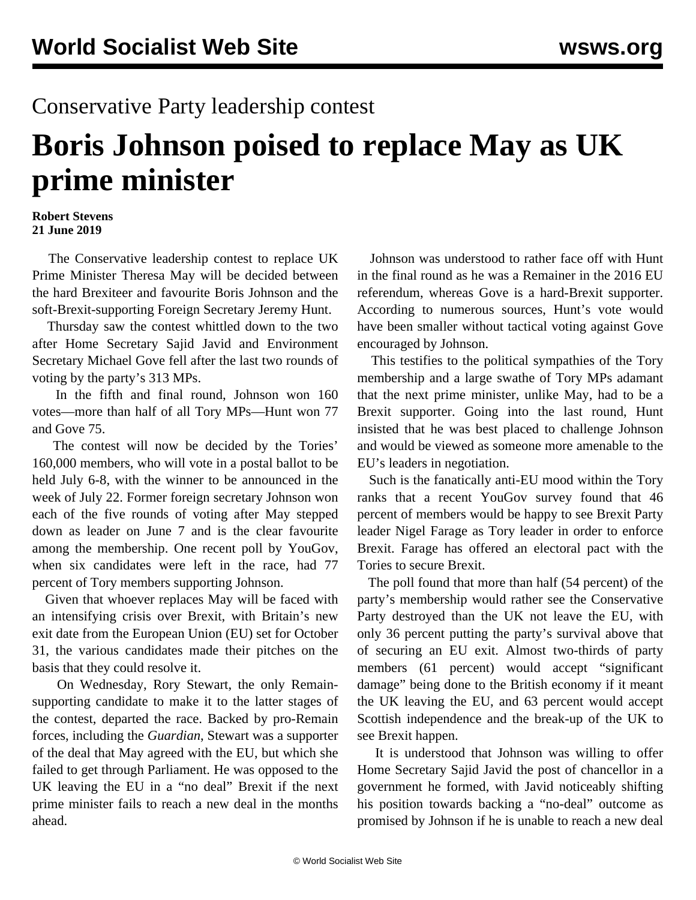## Conservative Party leadership contest

## **Boris Johnson poised to replace May as UK prime minister**

## **Robert Stevens 21 June 2019**

 The Conservative leadership contest to replace UK Prime Minister Theresa May will be decided between the hard Brexiteer and favourite Boris Johnson and the soft-Brexit-supporting Foreign Secretary Jeremy Hunt.

 Thursday saw the contest whittled down to the two after Home Secretary Sajid Javid and Environment Secretary Michael Gove fell after the last two rounds of voting by the party's 313 MPs.

 In the fifth and final round, Johnson won 160 votes—more than half of all Tory MPs—Hunt won 77 and Gove 75.

 The contest will now be decided by the Tories' 160,000 members, who will vote in a postal ballot to be held July 6-8, with the winner to be announced in the week of July 22. Former foreign secretary Johnson won each of the five rounds of voting after May stepped down as leader on June 7 and is the clear favourite among the membership. One recent poll by YouGov, when six candidates were left in the race, had 77 percent of Tory members supporting Johnson.

 Given that whoever replaces May will be faced with an intensifying crisis over Brexit, with Britain's new exit date from the European Union (EU) set for October 31, the various candidates made their pitches on the basis that they could resolve it.

 On Wednesday, Rory Stewart, the only Remainsupporting candidate to make it to the latter stages of the contest, departed the race. Backed by pro-Remain forces, including the *Guardian*, Stewart was a supporter of the deal that May agreed with the EU, but which she failed to get through Parliament. He was opposed to the UK leaving the EU in a "no deal" Brexit if the next prime minister fails to reach a new deal in the months ahead.

 Johnson was understood to rather face off with Hunt in the final round as he was a Remainer in the 2016 EU referendum, whereas Gove is a hard-Brexit supporter. According to numerous sources, Hunt's vote would have been smaller without tactical voting against Gove encouraged by Johnson.

 This testifies to the political sympathies of the Tory membership and a large swathe of Tory MPs adamant that the next prime minister, unlike May, had to be a Brexit supporter. Going into the last round, Hunt insisted that he was best placed to challenge Johnson and would be viewed as someone more amenable to the EU's leaders in negotiation.

 Such is the fanatically anti-EU mood within the Tory ranks that a recent YouGov survey found that 46 percent of members would be happy to see Brexit Party leader Nigel Farage as Tory leader in order to enforce Brexit. Farage has offered an electoral pact with the Tories to secure Brexit.

 The poll found that more than half (54 percent) of the party's membership would rather see the Conservative Party destroyed than the UK not leave the EU, with only 36 percent putting the party's survival above that of securing an EU exit. Almost two-thirds of party members (61 percent) would accept "significant damage" being done to the British economy if it meant the UK leaving the EU, and 63 percent would accept Scottish independence and the break-up of the UK to see Brexit happen.

 It is understood that Johnson was willing to offer Home Secretary Sajid Javid the post of chancellor in a government he formed, with Javid noticeably shifting his position towards backing a "no-deal" outcome as promised by Johnson if he is unable to reach a new deal